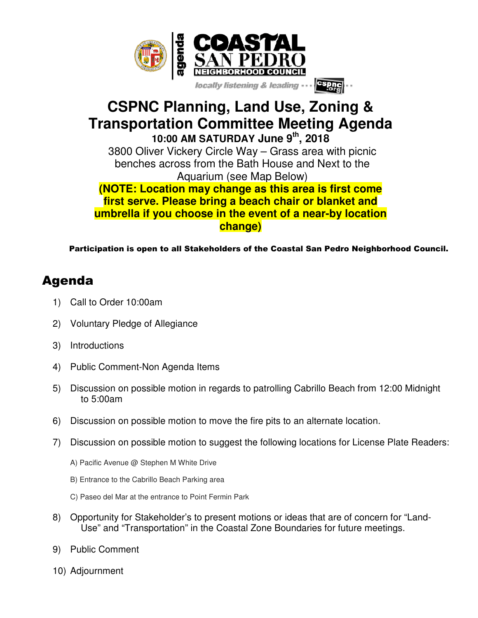

## **CSPNC Planning, Land Use, Zoning & Transportation Committee Meeting Agenda 10:00 AM SATURDAY June 9th, 2018**

3800 Oliver Vickery Circle Way – Grass area with picnic benches across from the Bath House and Next to the Aquarium (see Map Below)

## **(NOTE: Location may change as this area is first come first serve. Please bring a beach chair or blanket and umbrella if you choose in the event of a near-by location change)**

Participation is open to all Stakeholders of the Coastal San Pedro Neighborhood Council.

## Agenda

- 1) Call to Order 10:00am
- 2) Voluntary Pledge of Allegiance
- 3) Introductions
- 4) Public Comment-Non Agenda Items
- 5) Discussion on possible motion in regards to patrolling Cabrillo Beach from 12:00 Midnight to 5:00am
- 6) Discussion on possible motion to move the fire pits to an alternate location.
- 7) Discussion on possible motion to suggest the following locations for License Plate Readers:
	- A) Pacific Avenue @ Stephen M White Drive
	- B) Entrance to the Cabrillo Beach Parking area
	- C) Paseo del Mar at the entrance to Point Fermin Park
- 8) Opportunity for Stakeholder's to present motions or ideas that are of concern for "Land-Use" and "Transportation" in the Coastal Zone Boundaries for future meetings.
- 9) Public Comment
- 10) Adjournment